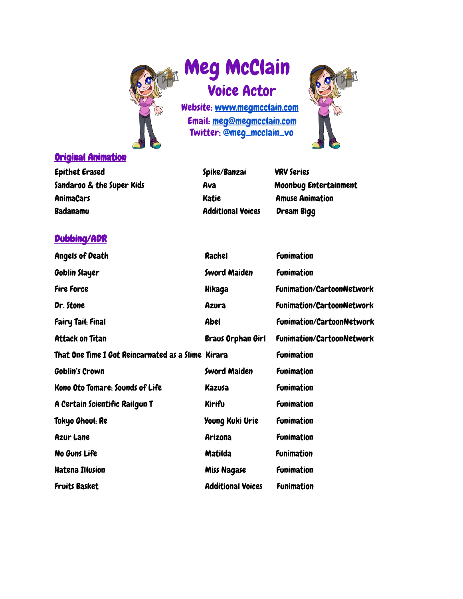

# Meg McClain Voice Actor

Website: www.megmcclain.com Email: meg@megmcclain.com Twitter: @meg\_mcclain\_vo



### Original Animation

| ________________________  |                          |                        |
|---------------------------|--------------------------|------------------------|
| Epithet Erased            | Spike/Banzai             | <b>VRV Series</b>      |
| Sandaroo & the Super Kids | Ava                      | Moonbug Entertainment  |
| AnimaCars                 | <b>Katie</b>             | <b>Amuse Animation</b> |
| Badanamu                  | <b>Additional Voices</b> | <b>Dream Bigg</b>      |
|                           |                          |                        |

# Dubbing/ADR

| <b>Angels of Death</b>                             | Rachel                   | <b>Funimation</b>                |
|----------------------------------------------------|--------------------------|----------------------------------|
| Goblin Slayer                                      | <b>Sword Maiden</b>      | <b>Funimation</b>                |
| <b>Fire Force</b>                                  | Hikaga                   | <b>Funimation/CartoonNetwork</b> |
| Dr. Stone                                          | Azura                    | <b>Funimation/CartoonNetwork</b> |
| <b>Fairy Tail: Final</b>                           | Abel                     | <b>Funimation/CartoonNetwork</b> |
| <b>Attack on Titan</b>                             | <b>Braus Orphan Girl</b> | <b>Funimation/CartoonNetwork</b> |
| That One Time I Got Reincarnated as a Slime Kirara |                          | <b>Funimation</b>                |
| <b>Goblin's Crown</b>                              | <b>Sword Maiden</b>      | <b>Funimation</b>                |
| Kono Oto Tomare: Sounds of Life                    | Kazusa                   | <b>Funimation</b>                |
| A Certain Scientific Railgun T                     | Kirifu                   | <b>Funimation</b>                |
| Tokyo Ghoul: Re                                    | Young Kuki Urie          | <b>Funimation</b>                |
| <b>Azur Lane</b>                                   | Arizona                  | <b>Funimation</b>                |
| No Guns Life                                       | Matilda                  | <b>Funimation</b>                |
| <b>Hatena Illusion</b>                             | <b>Miss Nagase</b>       | <b>Funimation</b>                |
| <b>Fruits Basket</b>                               | <b>Additional Voices</b> | <b>Funimation</b>                |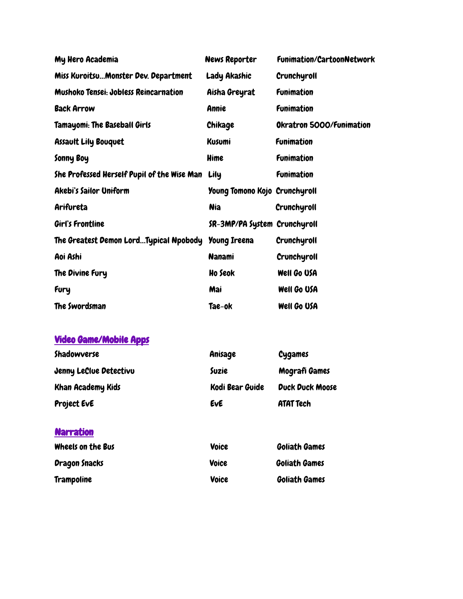| My Hero Academia                             | <b>News Reporter</b>          | <b>Funimation/CartoonNetwork</b> |
|----------------------------------------------|-------------------------------|----------------------------------|
| Miss KuroitsuMonster Dev. Department         | Lady Akashic                  | Crunchyroll                      |
| <b>Mushoko Tensei: Jobless Reincarnation</b> | Aisha Greyrat                 | <b>Funimation</b>                |
| <b>Back Arrow</b>                            | Annie                         | <b>Funimation</b>                |
| Tamayomi: The Baseball Girls                 | Chikage                       | Okratron 5000/Funimation         |
| <b>Assault Lily Bouquet</b>                  | <b>Kusumi</b>                 | <b>Funimation</b>                |
| Sonny Boy                                    | Hime                          | <b>Funimation</b>                |
| She Professed Herself Pupil of the Wise Man  | Lily                          | <b>Funimation</b>                |
| <b>Akebi's Sailor Uniform</b>                | Young Tomono Kojo Crunchyroll |                                  |
| Arifureta                                    | <b>Nia</b>                    | Crunchyroll                      |
| Girl's Frontline                             | SR-3MP/PA System Crunchyroll  |                                  |
| The Greatest Demon LordTypical Npobody       | <b>Young Ireena</b>           | Crunchyroll                      |
| Aoi Ashi                                     | <b>Nanami</b>                 | Crunchyroll                      |
| The Divine Fury                              | Ho Seok                       | Well Go USA                      |
| Fury                                         | Mai                           | Well Go USA                      |
| The Swordsman                                | Tae-ok                        | Well Go USA                      |

# Video Game/Mobile Apps

| Shadowverse              | Anisage         | <b>Cygames</b>         |
|--------------------------|-----------------|------------------------|
| Jenny LeClue Detectivu   | Suzie           | Mografi Games          |
| <b>Khan Academy Kids</b> | Kodi Bear Guide | <b>Duck Duck Moose</b> |
| <b>Project EvE</b>       | Eve             | <b>ATAT Tech</b>       |

## **Narration**

| Wheels on the Bus    | Voice | <b>Goliath Games</b> |  |
|----------------------|-------|----------------------|--|
| <b>Dragon Snacks</b> | Voice | <b>Goliath Games</b> |  |
| <b>Trampoline</b>    | Voice | <b>Goliath Games</b> |  |